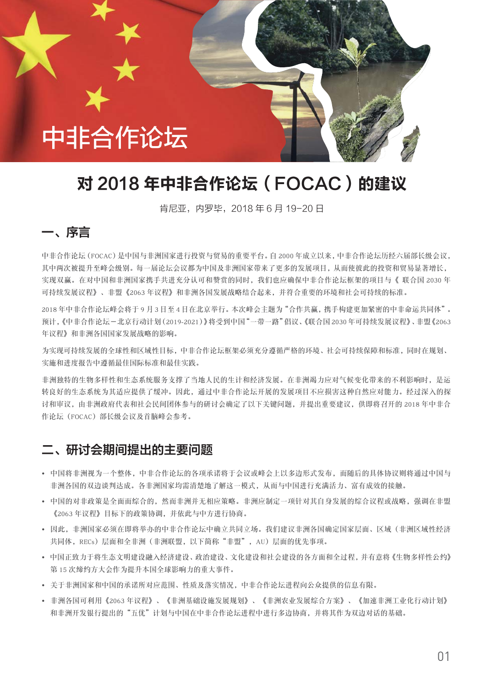# 中非合作论坛

# 对 2018 年中非合作论坛 (FOCAC) 的建议

肯尼亚, 内罗毕, 2018年6月19-20日

# 一、序言

中非合作论坛(FOCAC)是中国与非洲国家进行投资与贸易的重要平台。自2000年成立以来,中非合作论坛历经六届部长级会议, 其中两次被提升至峰会级别。每一届论坛会议都为中国及非洲国家带来了更多的发展项目,从而使彼此的投资和贸易显著增长, 实现双赢。在对中国和非洲国家携手共进充分认可和赞赏的同时,我们也应确保中非合作论坛框架的项目与《联合国2030年 可持续发展议程》、非盟《2063年议程》和非洲各国发展战略结合起来,并符合重要的环境和社会可持续的标准。

2018 年中非合作论坛峰会将于 9 月 3 日至 4 日在北京举行。本次峰会主题为"合作共赢, 槜手构建更加紧密的中非命运共同体"。 预计,《中非合作论坛-北京行动计划(2019-2021)》将受到中国"一带一路"倡议、《联合国2030年可持续发展议程》、非盟《2063 年议程》和非洲各国国家发展战略的影响。

为实现可持续发展的全球性和区域性目标,中非合作论坛框架必须充分遵循严格的环境、社会可持续保障和标准,同时在规划、 实施和进度报告中遵循最佳国际标准和最佳实践。

非洲独特的生物多样性和生态系统服务支撑了当地人民的生计和经济发展。在非洲竭力应对气候变化带来的不利影响时,是运 转良好的生态系统为其适应提供了缓冲。因此,通过中非合作论坛开展的发展项目不应损害这种自然应对能力。经过深入的探 讨和审议,由非洲政府代表和社会民间团体参与的研讨会确定了以下关键问题,并提出重要建议,供即将召开的2018年中非合 作论坛 (FOCAC)部长级会议及首脑峰会参考。

### 二、研讨会期间提出的主要问题

- 中国将非洲视为一个整体,中非合作论坛的各项承诺将于会议或峰会上以多边形式发布,而随后的具体协议则将通过中国与 非洲各国的双边谈判达成。各非洲国家均需清楚地了解这一模式,从而与中国进行充满活力、富有成效的接触。
- 中国的对非政策是全面而综合的,然而非洲并无相应策略。非洲应制定一项针对其自身发展的综合议程或战略,强调在非盟 《2063年议程》目标下的政策协调,并依此与中方进行协商。
- 因此, 非洲国家必须在即将举办的中非合作论坛中确立共同立场。我们建议非洲各国确定国家层面、区域(非洲区域性经济 共同体, RECs) 层面和全非洲(非洲联盟, 以下简称"非盟", AU) 层面的优先事项。
- 中国正致力于将生态文明建设融入经济建设、政治建设、文化建设和社会建设的各方面和全过程,并有意将《生物多样性公约》 第15 次缔约方大会作为提升本国全球影响力的重大事件。
- 关于非洲国家和中国的承诺所对应范围、性质及落实情况,中非合作论坛进程向公众提供的信息有限。
- 非洲各国可利用《2063年议程》、《非洲基础设施发展规划》、《非洲农业发展综合方案》、《加速非洲工业化行动计划》 和非洲开发银行提出的"五优"计划与中国在中非合作论坛进程中进行多边协商,并将其作为双边对话的基础。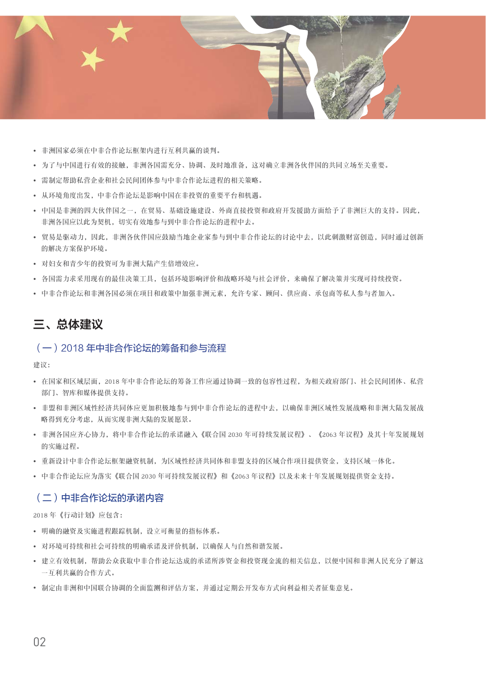

- 非洲国家必须在中非合作论坛框架内进行互利共赢的谈判。
- 为了与中国进行有效的接触, 非洲各国需充分、协调、及时地准备, 这对确立非洲各伙伴国的共同立场至关重要。
- 需制定帮助私营企业和社会民间团体参与中非合作论坛进程的相关策略。
- 从环境角度出发, 中非合作论坛是影响中国在非投资的重要平台和机遇。
- 中国是非洲的四大伙伴国之一, 在贸易、基础设施建设、外商直接投资和政府开发援助方面给予了非洲巨大的支持。因此, 非洲各国应以此为契机, 切实有效地参与到中非合作论坛的进程中去。
- 贸易是驱动力, 因此, 非洲各伙伴国应鼓励当地企业家参与到中非合作论坛的讨论中去, 以此刺激财富创造, 同时通过创新 的解决方案保护环境。
- 对妇女和青少年的投资可为非洲大陆产生倍增效应。
- 各国需力求采用现有的最佳决策工具, 包括环境影响评价和战略环境与社会评价, 来确保了解决策并实现可持续投资。
- 中非合作论坛和非洲各国必须在项目和政策中加强非洲元素、允许专家、顾问、供应商、承包商等私人参与者加入。

# 三、总体建议

#### (一) 2018年中非合作论坛的筹备和参与流程

建议:

- · 在国家和区域层面, 2018年中非合作论坛的筹备工作应通过协调一致的包容性过程, 为相关政府部门、社会民间团体、私营 部门、智库和媒体提供支持。
- 非盟和非洲区域性经济共同体应更加积极地参与到中非合作论坛的进程中夫, 以确保非洲区域性发展战略和非洲大陆发展战 略得到充分考虑。从而实现非洲大陆的发展愿景。
- 非洲各国应齐心协力,将中非合作论坛的承诺融入《联合国 2030 年可持续发展议程》、《2063 年议程》及其十年发展规划 的实施过程。
- 重新设计中非合作论坛框架融资机制, 为区域性经济共同体和非盟支持的区域合作项目提供资金, 支持区域一体化。
- 中非合作论坛应为落实《联合国 2030 年可持续发展议程》和《2063 年议程》以及未来十年发展规划提供资金支持。

#### (二)中非合作论坛的承诺内容

2018年《行动计划》应包含:

- 明确的融资及实施进程跟踪机制, 设立可衡量的指标体系。
- 对环境可持续和社会可持续的明确承诺及评价机制, 以确保人与自然和谐发展。
- 建立有效机制,帮助公众获取中非合作论坛达成的承诺所涉资金和投资现金流的相关信息,以便中国和非洲人民充分了解这 一互利共赢的合作方式。
- 制定由非洲和中国联合协调的全面监测和评估方案, 并通过定期公开发布方式向利益相关者征集意见。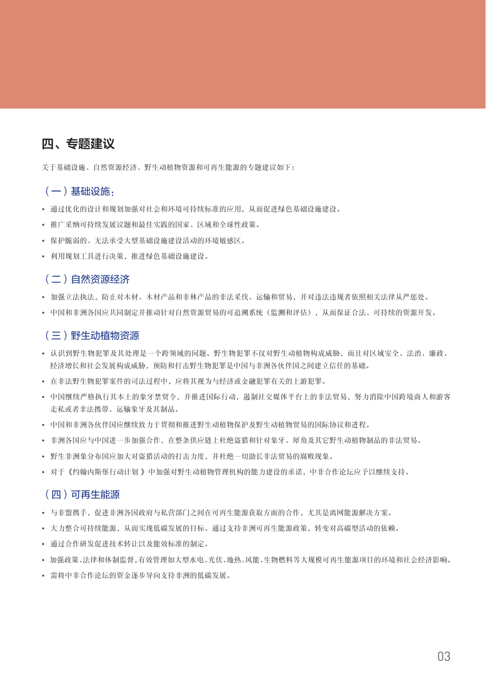# 四、专题建议

关于基础设施、自然资源经济、野生动植物资源和可再生能源的专题建议如下:

### (一) 基础设施.

- 通过优化的设计和规划加强对社会和环境可持续标准的应用, 从而促进绿色基础设施建设。
- 推广采纳可持续发展议题和最佳实践的国家、区域和全球性政策。
- 保护脆弱的、无法承受大型基础设施建设活动的环境敏感区。
- 利用规划工具进行决策, 推进绿色基础设施建设。

### (二) 自然资源经济

- 加强立法执法,防止对木材、木材产品和非林产品的非法采伐、运输和贸易,并对违法违规者依照相关法律从严惩处。
- 中国和非洲各国应共同制定并推动针对自然资源贸易的可追溯系统(监测和评估), 从而保证合法、可持续的资源开发。

#### (三) 野生动植物资源

- 认识到野生物犯罪及其处理是一个跨领域的问题。野生物犯罪不仅对野生动植物构成威胁, 而且对区域安全、法治、廉政、 经济增长和社会发展构成威胁,预防和打击野生物犯罪是中国与非洲各伙伴国之间建立信任的基础。
- 在非法野生物犯罪案件的司法过程中, 应将其视为与经济或金融犯罪有关的上游犯罪。
- 中国继续严格执行其本土的象牙禁贸令, 并推进国际行动, 遏制社交媒体平台上的非法贸易, 努力消除中国跨境商人和游客 走私或者非法携带、运输象牙及其制品。
- 中国和非洲各伙伴国应继续致力于贯彻和推进野生动植物保护及野生动植物贸易的国际协议和进程。
- 非洲各国应与中国进一步加强合作, 在整条供应链上杜绝盗猎和针对象牙、犀角及其它野生动植物制品的非法贸易。
- 野生非洲象分布国应加大对盗猎活动的打击力度,并杜绝一切助长非法留易的腐败现象。
- 对于《约翰内斯堡行动计划》中加强对野生动植物管理机构的能力建设的承诺,中非合作论坛应予以继续支持。

#### (四)可再生能源

- 与非盟携手,促进非洲各国政府与私营部门之间在可再生能源获取方面的合作,尤其是离网能源解决方案。
- 大力整合可持续能源, 从而实现低碳发展的目标。通过支持非洲可再生能源政策, 转变对高碳型活动的依赖。
- 通过合作研发促进技术转让以及能效标准的制定。
- 加强政策、法律和体制监督,有效管理如大型水电、光伏、地执、风能、生物燃料等大规模可再生能源项目的环境和社会经济影响。
- 需将中非合作论坛的资金逐步导向支持非洲的低碳发展。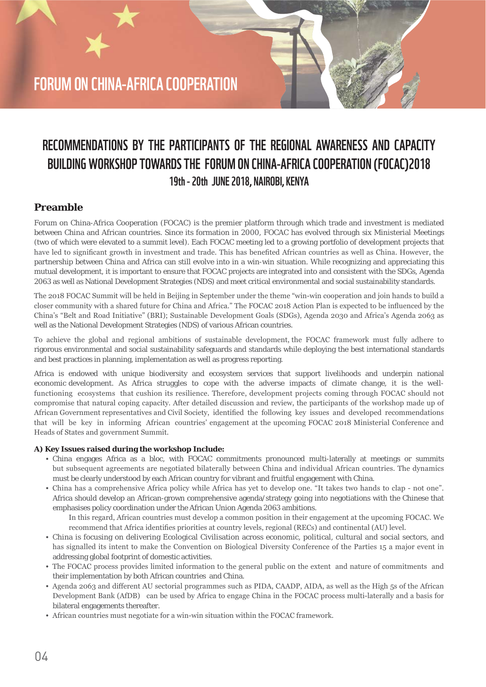# **FORUM ON CHINA-AFRICA COOPERATION**

# **RECOMMENDATIONS BY THE PARTICIPANTS OF THE REGIONAL AWARENESS AND CAPACITY BUILDING WORKSHOP TOWARDS THE FORUM ON CHINA-AFRICA COOPERATION (FOCAC)2018 19th - 20th JUNE 2018, NAIROBI, KENYA**

### **Preamble**

Forum on China-Africa Cooperation (FOCAC) is the premier platform through which trade and investment is mediated between China and African countries. Since its formation in 2000, FOCAC has evolved through six Ministerial Meetings (two of which were elevated to a summit level). Each FOCAC meeting led to a growing portfolio of development projects that have led to significant growth in investment and trade. This has benefited African countries as well as China. However, the partnership between China and Africa can still evolve into in a win-win situation. While recognizing and appreciating this mutual development, it is important to ensure that FOCAC projects are integrated into and consistent with the SDGs, Agenda 2063 as well as National Development Strategies (NDS) and meet critical environmental and social sustainability standards.

The 2018 FOCAC Summit will be held in Beijing in September under the theme "win-win cooperation and join hands to build a closer community with a shared future for China and Africa." The FOCAC 2018 Action Plan is expected to be influenced by the China's "Belt and Road Initiative" (BRI); Sustainable Development Goals (SDGs), Agenda 2030 and Africa's Agenda 2063 as well as the National Development Strategies (NDS) of various African countries.

To achieve the global and regional ambitions of sustainable development, the FOCAC framework must fully adhere to rigorous environmental and social sustainability safeguards and standards while deploying the best international standards and best practices in planning, implementation as well as progress reporting.

Africa is endowed with unique biodiversity and ecosystem services that support livelihoods and underpin national economic development. As Africa struggles to cope with the adverse impacts of climate change, it is the wellfunctioning ecosystems that cushion its resilience. Therefore, development projects coming through FOCAC should not compromise that natural coping capacity. After detailed discussion and review, the participants of the workshop made up of African Government representatives and Civil Society, identified the following key issues and developed recommendations that will be key in informing African countries' engagement at the upcoming FOCAC 2018 Ministerial Conference and Heads of States and government Summit.

#### **A) Key Issues raised during the workshop Include:**

- ș China engages Africa as a bloc, with FOCAC commitments pronounced multi-laterally at meetings or summits but subsequent agreements are negotiated bilaterally between China and individual African countries. The dynamics must be clearly understood by each African country for vibrant and fruitful engagement with China.
- China has a comprehensive Africa policy while Africa has vet to develop one. "It takes two hands to clap not one". Africa should develop an African-grown comprehensive agenda/strategy going into negotiations with the Chinese that emphasises policy coordination under the African Union Agenda 2063 ambitions. In this regard, African countries must develop a common position in their engagement at the upcoming FOCAC. We

recommend that Africa identifies priorities at country levels, regional (RECs) and continental (AU) level.

- ș China is focusing on delivering Ecological Civilisation across economic, political, cultural and social sectors, and has signalled its intent to make the Convention on Biological Diversity Conference of the Parties 15 a major event in addressing global footprint of domestic activities.
- The FOCAC process provides limited information to the general public on the extent and nature of commitments and their implementation by both African countries and China.
- Agenda 2063 and different AU sectorial programmes such as PIDA, CAADP, AIDA, as well as the High 5s of the African Development Bank (AfDB) can be used by Africa to engage China in the FOCAC process multi-laterally and a basis for bilateral engagements thereafter.
- African countries must negotiate for a win-win situation within the FOCAC framework.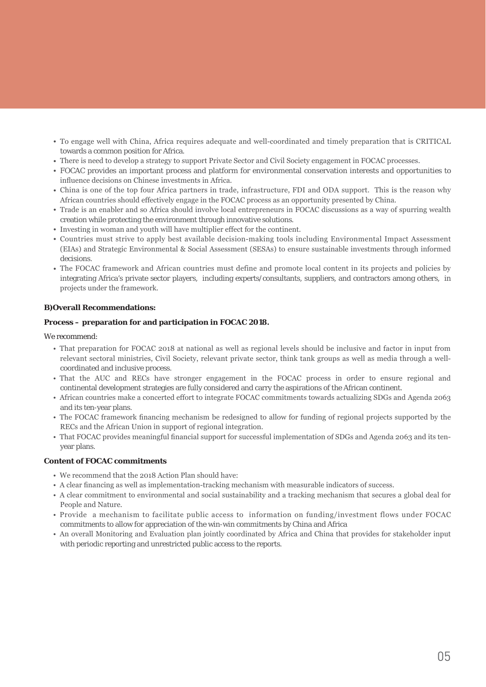- To engage well with China, Africa requires adequate and well-coordinated and timely preparation that is CRITICAL towards a common position for Africa.
- There is need to develop a strategy to support Private Sector and Civil Society engagement in FOCAC processes.
- ș FOCAC provides an important process and platform for environmental conservation interests and opportunities to influence decisions on Chinese investments in Africa.
- China is one of the top four Africa partners in trade, infrastructure, FDI and ODA support. This is the reason why African countries should effectively engage in the FOCAC process as an opportunity presented by China.
- Trade is an enabler and so Africa should involve local entrepreneurs in FOCAC discussions as a way of spurring wealth creation while protecting the environment through innovative solutions.
- $\bullet$  Investing in woman and youth will have multiplier effect for the continent.
- Countries must strive to apply best available decision-making tools including Environmental Impact Assessment (EIAs) and Strategic Environmental & Social Assessment (SESAs) to ensure sustainable investments through informed decisions.
- The FOCAC framework and African countries must define and promote local content in its projects and policies by integrating Africa's private sector players, including experts/consultants, suppliers, and contractors among others, in projects under the framework.

#### **B)Overall Recommendations:**

#### **Process – preparation for and participation in FOCAC 2018.**

We recommend:

- That preparation for FOCAC 2018 at national as well as regional levels should be inclusive and factor in input from relevant sectoral ministries, Civil Society, relevant private sector, think tank groups as well as media through a wellcoordinated and inclusive process.
- That the AUC and RECs have stronger engagement in the FOCAC process in order to ensure regional and continental development strategies are fully considered and carry the aspirations of the African continent.
- . African countries make a concerted effort to integrate FOCAC commitments towards actualizing SDGs and Agenda 2063 and its ten-year plans.
- The FOCAC framework financing mechanism be redesigned to allow for funding of regional projects supported by the RECs and the African Union in support of regional integration.
- That FOCAC provides meaningful financial support for successful implementation of SDGs and Agenda 2063 and its tenyear plans.

#### **Content of FOCAC commitments**

- We recommend that the 2018 Action Plan should have:
- A clear financing as well as implementation-tracking mechanism with measurable indicators of success.
- A clear commitment to environmental and social sustainability and a tracking mechanism that secures a global deal for People and Nature.
- Provide a mechanism to facilitate public access to information on funding/investment flows under FOCAC commitments to allow for appreciation of the win-win commitments by China and Africa
- . An overall Monitoring and Evaluation plan jointly coordinated by Africa and China that provides for stakeholder input with periodic reporting and unrestricted public access to the reports.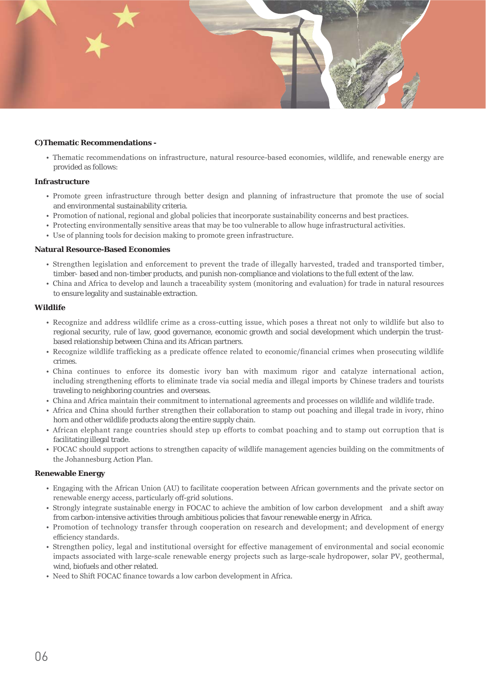

#### **C)Thematic Recommendations -**

• Thematic recommendations on infrastructure, natural resource-based economies, wildlife, and renewable energy are provided as follows:

#### **Infrastructure**

- Promote green infrastructure through better design and planning of infrastructure that promote the use of social and environmental sustainability criteria.
- Promotion of national, regional and global policies that incorporate sustainability concerns and best practices.
- Protecting environmentally sensitive areas that may be too vulnerable to allow huge infrastructural activities.
- Use of planning tools for decision making to promote green infrastructure.

#### **Natural Resource-Based Economies**

- Strengthen legislation and enforcement to prevent the trade of illegally harvested, traded and transported timber, timber- based and non-timber products, and punish non-compliance and violations to the full extent of the law.
- China and Africa to develop and launch a traceability system (monitoring and evaluation) for trade in natural resources to ensure legality and sustainable extraction.

#### **Wildlife**

- Recognize and address wildlife crime as a cross-cutting issue, which poses a threat not only to wildlife but also to regional security, rule of law, good governance, economic growth and social development which underpin the trustbased relationship between China and its African partners.
- Recognize wildlife trafficking as a predicate offence related to economic/financial crimes when prosecuting wildlife crimes.
- China continues to enforce its domestic ivory ban with maximum rigor and catalyze international action, including strengthening efforts to eliminate trade via social media and illegal imports by Chinese traders and tourists traveling to neighboring countries and overseas.
- China and Africa maintain their commitment to international agreements and processes on wildlife and wildlife trade.
- . Africa and China should further strengthen their collaboration to stamp out poaching and illegal trade in ivory, rhino horn and other wildlife products along the entire supply chain.
- . African elephant range countries should step up efforts to combat poaching and to stamp out corruption that is facilitating illegal trade.
- FOCAC should support actions to strengthen capacity of wildlife management agencies building on the commitments of the Johannesburg Action Plan.

#### **Renewable Energy**

- Engaging with the African Union (AU) to facilitate cooperation between African governments and the private sector on renewable energy access, particularly off-grid solutions.
- Strongly integrate sustainable energy in FOCAC to achieve the ambition of low carbon development and a shift away from carbon-intensive activities through ambitious policies that favour renewable energy in Africa.
- Promotion of technology transfer through cooperation on research and development; and development of energy efficiency standards.
- Strengthen policy, legal and institutional oversight for effective management of environmental and social economic impacts associated with large-scale renewable energy projects such as large-scale hydropower, solar PV, geothermal, wind, biofuels and other related.
- Need to Shift FOCAC finance towards a low carbon development in Africa.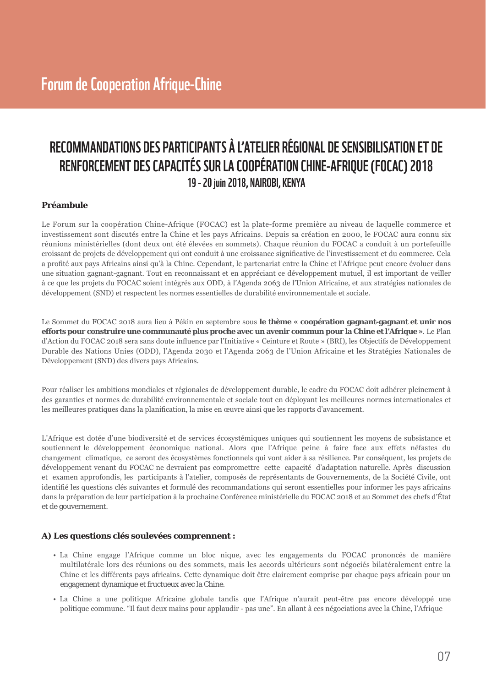# RECOMMANDATIONS DES PARTICIPANTS À L'ATELIER RÉGIONAL DE SENSIBILISATION ET DE RENFORCEMENT DES CAPACITÉS SUR LA COOPÉRATION CHINE-AFRIQUE (FOCAC) 2018 19 - 20 juin 2018, NAIROBI, KENYA

#### Préambule

Le Forum sur la coopération Chine-Afrique (FOCAC) est la plate-forme première au niveau de laquelle commerce et investissement sont discutés entre la Chine et les pays Africains. Depuis sa création en 2000, le FOCAC aura connu six réunions ministérielles (dont deux ont été élevées en sommets). Chaque réunion du FOCAC a conduit à un portefeuille croissant de projets de développement qui ont conduit à une croissance significative de l'investissement et du commerce. Cela a profité aux pays Africains ainsi qu'à la Chine. Cependant, le partenariat entre la Chine et l'Afrique peut encore évoluer dans une situation gagnant-gagnant. Tout en reconnaissant et en appréciant ce développement mutuel, il est important de veiller à ce que les projets du FOCAC soient intégrés aux ODD, à l'Agenda 2063 de l'Union Africaine, et aux stratégies nationales de développement (SND) et respectent les normes essentielles de durabilité environnementale et sociale.

Le Sommet du FOCAC 2018 aura lieu à Pékin en septembre sous le thème « coopération gagnant-gagnant et unir nos efforts pour construire une communauté plus proche avec un avenir commun pour la Chine et l'Afrique ». Le Plan d'Action du FOCAC 2018 sera sans doute influence par l'Initiative « Ceinture et Route » (BRI), les Objectifs de Développement Durable des Nations Unies (ODD), l'Agenda 2030 et l'Agenda 2063 de l'Union Africaine et les Stratégies Nationales de Développement (SND) des divers pays Africains.

Pour réaliser les ambitions mondiales et régionales de développement durable, le cadre du FOCAC doit adhérer pleinement à des garanties et normes de durabilité environnementale et sociale tout en déployant les meilleures normes internationales et les meilleures pratiques dans la planification, la mise en œuvre ainsi que les rapports d'avancement.

L'Afrique est dotée d'une biodiversité et de services écosystémiques uniques qui soutiennent les moyens de subsistance et soutiennent le développement économique national. Alors que l'Afrique peine à faire face aux effets néfastes du changement climatique, ce seront des écosystèmes fonctionnels qui vont aider à sa résilience. Par conséquent, les projets de développement venant du FOCAC ne devraient pas compromettre cette capacité d'adaptation naturelle. Après discussion et examen approfondis, les participants à l'atelier, composés de représentants de Gouvernements, de la Société Civile, ont identifié les questions clés suivantes et formulé des recommandations qui seront essentielles pour informer les pays africains dans la préparation de leur participation à la prochaine Conférence ministérielle du FOCAC 2018 et au Sommet des chefs d'État et de gouvernement.

#### A) Les questions clés soulevées comprennent :

- · La Chine engage l'Afrique comme un bloc nique, avec les engagements du FOCAC prononcés de manière multilatérale lors des réunions ou des sommets, mais les accords ultérieurs sont négociés bilatéralement entre la Chine et les différents pays africains. Cette dynamique doit être clairement comprise par chaque pays africain pour un engagement dynamique et fructueux avec la Chine.
- La Chine a une politique Africaine globale tandis que l'Afrique n'aurait peut-être pas encore développé une politique commune. "Il faut deux mains pour applaudir - pas une". En allant à ces négociations avec la Chine, l'Afrique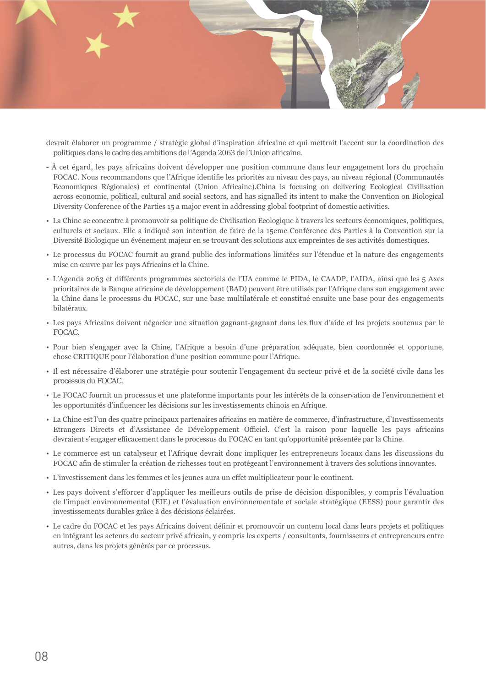

- devrait élaborer un programme / stratégie global d'inspiration africaine et qui mettrait l'accent sur la coordination des politiques dans le cadre des ambitions de l'Agenda 2063 de l'Union africaine.
- À cet égard, les pays africains doivent développer une position commune dans leur engagement lors du prochain FOCAC. Nous recommandons que l'Afrique identifie les priorités au niveau des pays, au niveau régional (Communautés Economiques Régionales) et continental (Union Africaine).China is focusing on delivering Ecological Civilisation across economic, political, cultural and social sectors, and has signalled its intent to make the Convention on Biological Diversity Conference of the Parties 15 a major event in addressing global footprint of domestic activities.
- La Chine se concentre à promouvoir sa politique de Civilisation Ecologique à travers les secteurs économiques, politiques, culturels et sociaux. Elle a indiqué son intention de faire de la 15eme Conférence des Parties à la Convention sur la Diversité Biologique un événement majeur en se trouvant des solutions aux empreintes de ses activités domestiques.
- Le processus du FOCAC fournit au grand public des informations limitées sur l'étendue et la nature des engagements mise en œuvre par les pays Africains et la Chine.
- L'Agenda 2063 et différents programmes sectoriels de l'UA comme le PIDA, le CAADP, l'AIDA, ainsi que les 5 Axes prioritaires de la Banque africaine de développement (BAD) peuvent être utilisés par l'Afrique dans son engagement avec la Chine dans le processus du FOCAC, sur une base multilatérale et constitué ensuite une base pour des engagements bilatéraux.
- · Les pays Africains doivent négocier une situation gagnant-gagnant dans les flux d'aide et les projets soutenus par le FOCAC.
- · Pour bien s'engager avec la Chine, l'Afrique a besoin d'une préparation adéquate, bien coordonnée et opportune, chose CRITIQUE pour l'élaboration d'une position commune pour l'Afrique.
- · Il est nécessaire d'élaborer une stratégie pour soutenir l'engagement du secteur privé et de la société civile dans les processus du FOCAC.
- Le FOCAC fournit un processus et une plateforme importants pour les intérêts de la conservation de l'environnement et les opportunités d'influencer les décisions sur les investissements chinois en Afrique.
- La Chine est l'un des quatre principaux partenaires africains en matière de commerce, d'infrastructure, d'Investissements Etrangers Directs et d'Assistance de Développement Officiel. C'est la raison pour laquelle les pays africains devraient s'engager efficacement dans le processus du FOCAC en tant qu'opportunité présentée par la Chine.
- Le commerce est un catalyseur et l'Afrique devrait donc impliquer les entrepreneurs locaux dans les discussions du FOCAC afin de stimuler la création de richesses tout en protégeant l'environnement à travers des solutions innovantes.
- · L'investissement dans les femmes et les jeunes aura un effet multiplicateur pour le continent.
- Les pays doivent s'efforcer d'appliquer les meilleurs outils de prise de décision disponibles, y compris l'évaluation de l'impact environnemental (EIE) et l'évaluation environnementale et sociale stratégique (EESS) pour garantir des investissements durables grâce à des décisions éclairées.
- Le cadre du FOCAC et les pays Africains doivent définir et promouvoir un contenu local dans leurs projets et politiques en intégrant les acteurs du secteur privé africain, y compris les experts / consultants, fournisseurs et entrepreneurs entre autres, dans les projets générés par ce processus.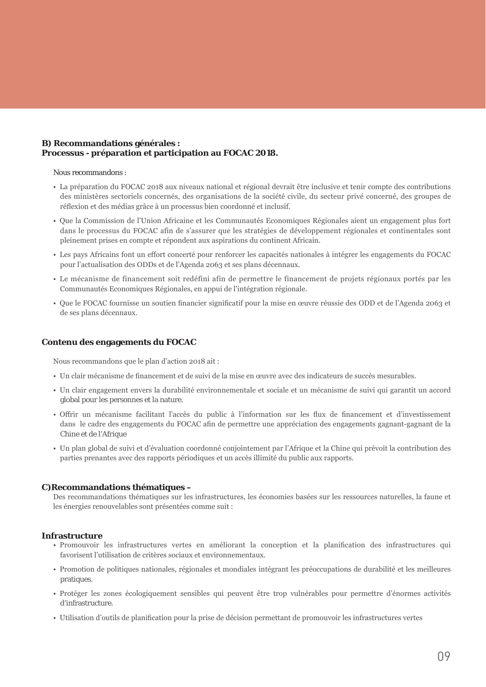#### B) Recommandations générales : Processus - préparation et participation au FOCAC 2018.

Nous recommandons :

- La préparation du FOCAC 2018 aux niveaux national et régional devrait être inclusive et tenir compte des contributions des ministères sectoriels concernés, des organisations de la société civile, du secteur privé concerné, des groupes de réflexion et des médias grâce à un processus bien coordonné et inclusif.
- · Que la Commission de l'Union Africaine et les Communautés Economiques Régionales aient un engagement plus fort dans le processus du FOCAC afin de s'assurer que les stratégies de développement régionales et continentales sont pleinement prises en compte et répondent aux aspirations du continent Africain.
- · Les pays Africains font un effort concerté pour renforcer les capacités nationales à intégrer les engagements du FOCAC pour l'actualisation des ODDs et de l'Agenda 2063 et ses plans décennaux.
- Le mécanisme de financement soit redéfini afin de permettre le financement de projets régionaux portés par les Communautés Economiques Régionales, en appui de l'intégration régionale.
- · Que le FOCAC fournisse un soutien financier significatif pour la mise en œuvre réussie des ODD et de l'Agenda 2063 et de ses plans décennaux.

#### Contenu des engagements du FOCAC

Nous recommandons que le plan d'action 2018 ait :

- Un clair mécanisme de financement et de suivi de la mise en œuvre avec des indicateurs de succès mesurables.
- · Un clair engagement envers la durabilité environnementale et sociale et un mécanisme de suivi qui garantit un accord global pour les personnes et la nature.
- · Offrir un mécanisme facilitant l'accès du public à l'information sur les flux de financement et d'investissement dans le cadre des engagements du FOCAC afin de permettre une appréciation des engagements gagnant-gagnant de la Chine et de l'Afrique
- Un plan global de suivi et d'évaluation coordonné conjointement par l'Afrique et la Chine qui prévoit la contribution des parties prenantes avec des rapports périodiques et un accès illimité du public aux rapports.

#### C) Recommandations thématiques -

Des recommandations thématiques sur les infrastructures, les économies basées sur les ressources naturelles, la faune et les énergies renouvelables sont présentées comme suit :

#### Infrastructure

- Promouvoir les infrastructures vertes en améliorant la conception et la planification des infrastructures qui favorisent l'utilisation de critères sociaux et environnementaux.
- · Promotion de politiques nationales, régionales et mondiales intégrant les préoccupations de durabilité et les meilleures pratiques.
- · Protéger les zones écologiquement sensibles qui peuvent être trop vulnérables pour permettre d'énormes activités d'infrastructure.
- Utilisation d'outils de planification pour la prise de décision permettant de promouvoir les infrastructures vertes